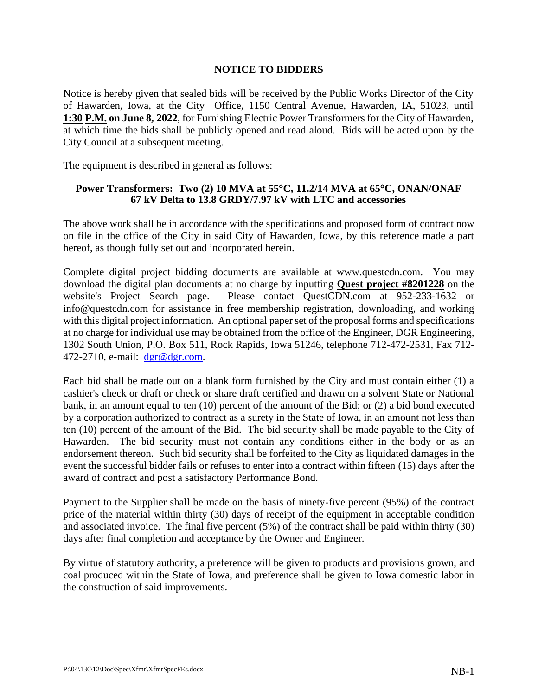## **NOTICE TO BIDDERS**

Notice is hereby given that sealed bids will be received by the Public Works Director of the City of Hawarden, Iowa, at the City Office, 1150 Central Avenue, Hawarden, IA, 51023, until **1:30 P.M. on June 8, 2022**, for Furnishing Electric Power Transformers for the City of Hawarden, at which time the bids shall be publicly opened and read aloud. Bids will be acted upon by the City Council at a subsequent meeting.

The equipment is described in general as follows:

## **Power Transformers: Two (2) 10 MVA at 55C, 11.2/14 MVA at 65C, ONAN/ONAF 67 kV Delta to 13.8 GRDY/7.97 kV with LTC and accessories**

The above work shall be in accordance with the specifications and proposed form of contract now on file in the office of the City in said City of Hawarden, Iowa, by this reference made a part hereof, as though fully set out and incorporated herein.

Complete digital project bidding documents are available at www.questcdn.com. You may download the digital plan documents at no charge by inputting **Quest project #8201228** on the website's Project Search page. Please contact QuestCDN.com at 952-233-1632 or info@questcdn.com for assistance in free membership registration, downloading, and working with this digital project information. An optional paper set of the proposal forms and specifications at no charge for individual use may be obtained from the office of the Engineer, DGR Engineering, 1302 South Union, P.O. Box 511, Rock Rapids, Iowa 51246, telephone 712-472-2531, Fax 712- 472-2710, e-mail: [dgr@dgr.com.](mailto:dgr@dgr.com)

Each bid shall be made out on a blank form furnished by the City and must contain either (1) a cashier's check or draft or check or share draft certified and drawn on a solvent State or National bank, in an amount equal to ten (10) percent of the amount of the Bid; or (2) a bid bond executed by a corporation authorized to contract as a surety in the State of Iowa, in an amount not less than ten (10) percent of the amount of the Bid. The bid security shall be made payable to the City of Hawarden. The bid security must not contain any conditions either in the body or as an endorsement thereon. Such bid security shall be forfeited to the City as liquidated damages in the event the successful bidder fails or refuses to enter into a contract within fifteen (15) days after the award of contract and post a satisfactory Performance Bond.

Payment to the Supplier shall be made on the basis of ninety-five percent (95%) of the contract price of the material within thirty (30) days of receipt of the equipment in acceptable condition and associated invoice. The final five percent (5%) of the contract shall be paid within thirty (30) days after final completion and acceptance by the Owner and Engineer.

By virtue of statutory authority, a preference will be given to products and provisions grown, and coal produced within the State of Iowa, and preference shall be given to Iowa domestic labor in the construction of said improvements.